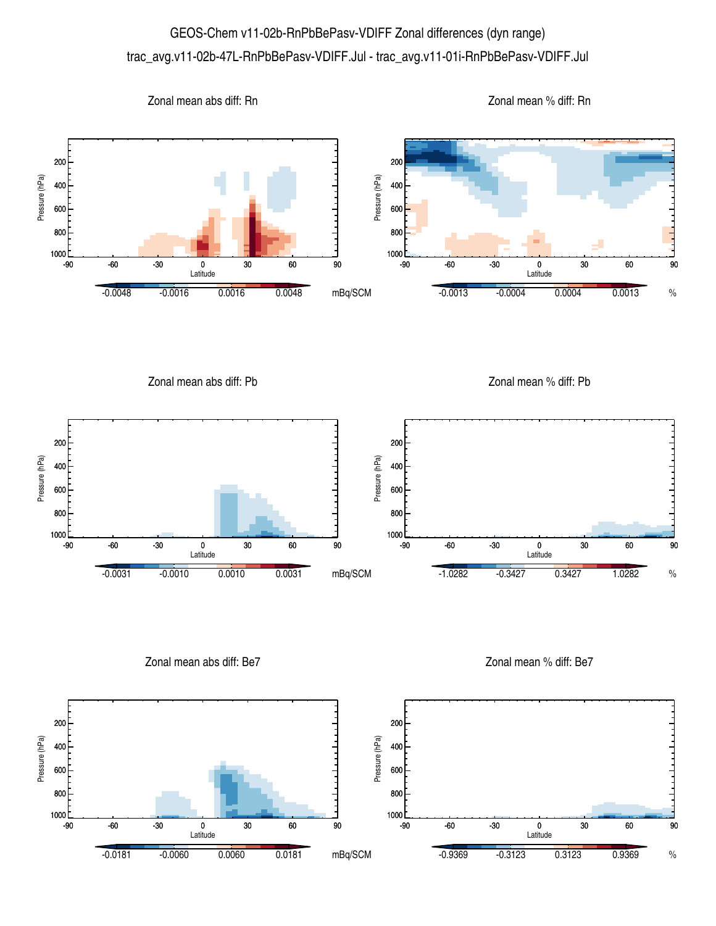## GEOS-Chem v11-02b-RnPbBePasv-VDIFF Zonal differences (dyn range) trac\_avg.v11-02b-47L-RnPbBePasv-VDIFF.Jul - trac\_avg.v11-01i-RnPbBePasv-VDIFF.Jul



Zonal mean abs diff: Pb

Zonal mean % diff: Pb



Zonal mean abs diff: Be7

Zonal mean % diff: Be7